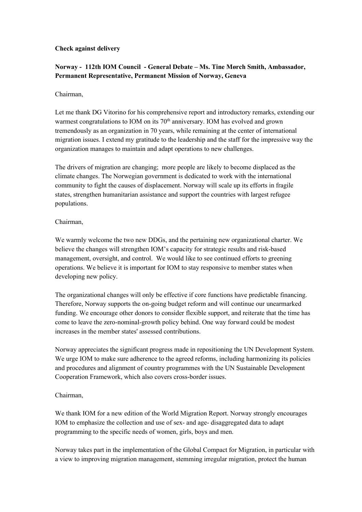# **Check against delivery**

# **Norway - 112th IOM Council - General Debate – Ms. Tine Mørch Smith, Ambassador, Permanent Representative, Permanent Mission of Norway, Geneva**

### Chairman,

Let me thank DG Vitorino for his comprehensive report and introductory remarks, extending our warmest congratulations to IOM on its  $70<sup>th</sup>$  anniversary. IOM has evolved and grown tremendously as an organization in 70 years, while remaining at the center of international migration issues. I extend my gratitude to the leadership and the staff for the impressive way the organization manages to maintain and adapt operations to new challenges.

The drivers of migration are changing; more people are likely to become displaced as the climate changes. The Norwegian government is dedicated to work with the international community to fight the causes of displacement. Norway will scale up its efforts in fragile states, strengthen humanitarian assistance and support the countries with largest refugee populations.

### Chairman,

We warmly welcome the two new DDGs, and the pertaining new organizational charter. We believe the changes will strengthen IOM's capacity for strategic results and risk-based management, oversight, and control. We would like to see continued efforts to greening operations. We believe it is important for IOM to stay responsive to member states when developing new policy.

The organizational changes will only be effective if core functions have predictable financing. Therefore, Norway supports the on-going budget reform and will continue our unearmarked funding. We encourage other donors to consider flexible support, and reiterate that the time has come to leave the zero-nominal-growth policy behind. One way forward could be modest increases in the member states' assessed contributions.

Norway appreciates the significant progress made in repositioning the UN Development System. We urge IOM to make sure adherence to the agreed reforms, including harmonizing its policies and procedures and alignment of country programmes with the UN Sustainable Development Cooperation Framework, which also covers cross-border issues.

#### Chairman,

We thank IOM for a new edition of the World Migration Report. Norway strongly encourages IOM to emphasize the collection and use of sex- and age- disaggregated data to adapt programming to the specific needs of women, girls, boys and men.

Norway takes part in the implementation of the Global Compact for Migration, in particular with a view to improving migration management, stemming irregular migration, protect the human